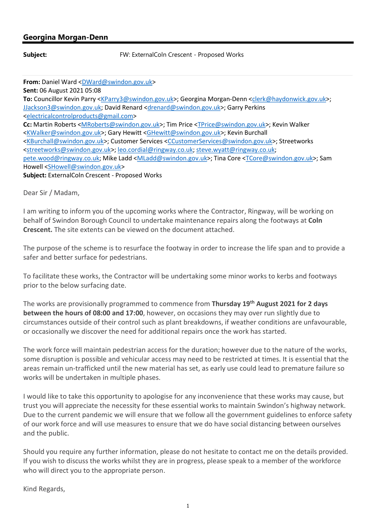## Georgina Morgan-Denn

Subject: FW: ExternalColn Crescent - Proposed Works

From: Daniel Ward <DWard@swindon.gov.uk> Sent: 06 August 2021 05:08 To: Councillor Kevin Parry <KParry3@swindon.gov.uk>; Georgina Morgan-Denn <clerk@haydonwick.gov.uk>; JJackson3@swindon.gov.uk; David Renard <drenard@swindon.gov.uk>; Garry Perkins <electricalcontrolproducts@gmail.com> Cc: Martin Roberts <MRoberts@swindon.gov.uk>; Tim Price <TPrice@swindon.gov.uk>; Kevin Walker <KWalker@swindon.gov.uk>; Gary Hewitt <GHewitt@swindon.gov.uk>; Kevin Burchall <KBurchall@swindon.gov.uk>; Customer Services <CCustomerServices@swindon.gov.uk>; Streetworks <streetworks@swindon.gov.uk>; leo.cordial@ringway.co.uk; steve.wyatt@ringway.co.uk; pete.wood@ringway.co.uk; Mike Ladd <MLadd@swindon.gov.uk>; Tina Core <TCore@swindon.gov.uk>; Sam Howell <SHowell@swindon.gov.uk> Subject: ExternalColn Crescent - Proposed Works

Dear Sir / Madam,

I am writing to inform you of the upcoming works where the Contractor, Ringway, will be working on behalf of Swindon Borough Council to undertake maintenance repairs along the footways at Coln Crescent. The site extents can be viewed on the document attached.

The purpose of the scheme is to resurface the footway in order to increase the life span and to provide a safer and better surface for pedestrians.

To facilitate these works, the Contractor will be undertaking some minor works to kerbs and footways prior to the below surfacing date.

The works are provisionally programmed to commence from Thursday 19<sup>th</sup> August 2021 for 2 days between the hours of 08:00 and 17:00, however, on occasions they may over run slightly due to circumstances outside of their control such as plant breakdowns, if weather conditions are unfavourable, or occasionally we discover the need for additional repairs once the work has started.

The work force will maintain pedestrian access for the duration; however due to the nature of the works, some disruption is possible and vehicular access may need to be restricted at times. It is essential that the areas remain un-trafficked until the new material has set, as early use could lead to premature failure so works will be undertaken in multiple phases.

I would like to take this opportunity to apologise for any inconvenience that these works may cause, but trust you will appreciate the necessity for these essential works to maintain Swindon's highway network. Due to the current pandemic we will ensure that we follow all the government guidelines to enforce safety of our work force and will use measures to ensure that we do have social distancing between ourselves and the public.

Should you require any further information, please do not hesitate to contact me on the details provided. If you wish to discuss the works whilst they are in progress, please speak to a member of the workforce who will direct you to the appropriate person.

Kind Regards,